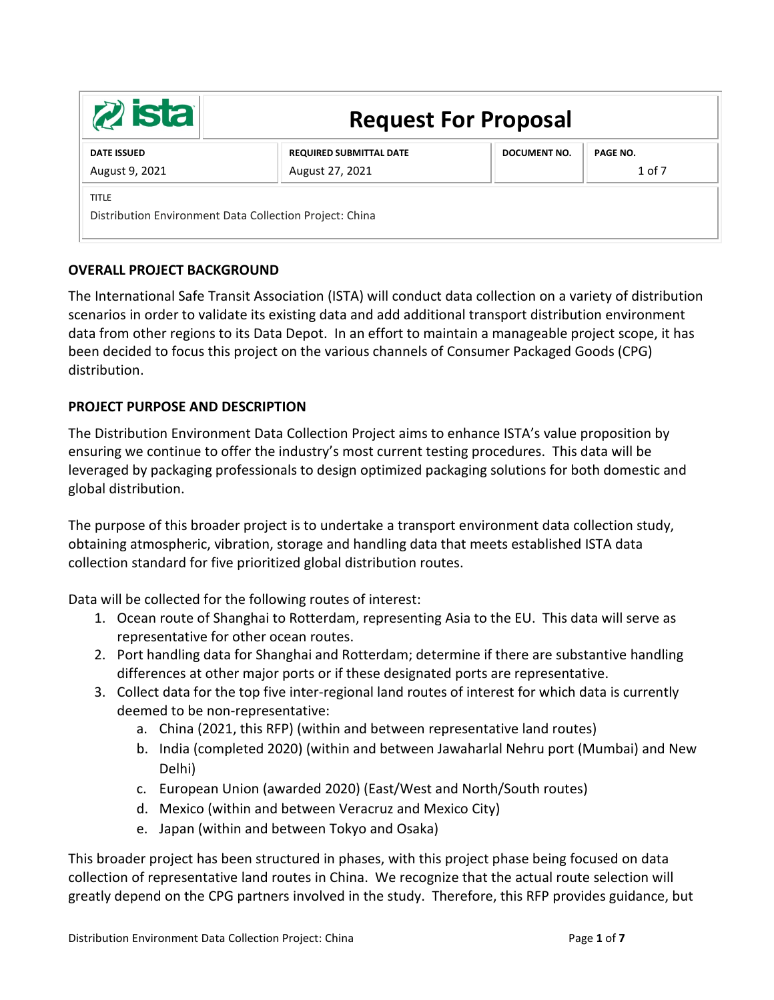| 2 <b>ista</b>                                                           | <b>Request For Proposal</b>                       |                     |                               |
|-------------------------------------------------------------------------|---------------------------------------------------|---------------------|-------------------------------|
| <b>DATE ISSUED</b><br>August 9, 2021                                    | <b>REQUIRED SUBMITTAL DATE</b><br>August 27, 2021 | <b>DOCUMENT NO.</b> | <b>PAGE NO.</b><br>$1$ of $7$ |
| <b>TITLE</b><br>Distribution Environment Data Collection Project: China |                                                   |                     |                               |

# **OVERALL PROJECT BACKGROUND**

The International Safe Transit Association (ISTA) will conduct data collection on a variety of distribution scenarios in order to validate its existing data and add additional transport distribution environment data from other regions to its Data Depot. In an effort to maintain a manageable project scope, it has been decided to focus this project on the various channels of Consumer Packaged Goods (CPG) distribution.

# **PROJECT PURPOSE AND DESCRIPTION**

The Distribution Environment Data Collection Project aims to enhance ISTA's value proposition by ensuring we continue to offer the industry's most current testing procedures. This data will be leveraged by packaging professionals to design optimized packaging solutions for both domestic and global distribution.

The purpose of this broader project is to undertake a transport environment data collection study, obtaining atmospheric, vibration, storage and handling data that meets established ISTA data collection standard for five prioritized global distribution routes.

Data will be collected for the following routes of interest:

- 1. Ocean route of Shanghai to Rotterdam, representing Asia to the EU. This data will serve as representative for other ocean routes.
- 2. Port handling data for Shanghai and Rotterdam; determine if there are substantive handling differences at other major ports or if these designated ports are representative.
- 3. Collect data for the top five inter-regional land routes of interest for which data is currently deemed to be non-representative:
	- a. China (2021, this RFP) (within and between representative land routes)
	- b. India (completed 2020) (within and between Jawaharlal Nehru port (Mumbai) and New Delhi)
	- c. European Union (awarded 2020) (East/West and North/South routes)
	- d. Mexico (within and between Veracruz and Mexico City)
	- e. Japan (within and between Tokyo and Osaka)

This broader project has been structured in phases, with this project phase being focused on data collection of representative land routes in China. We recognize that the actual route selection will greatly depend on the CPG partners involved in the study. Therefore, this RFP provides guidance, but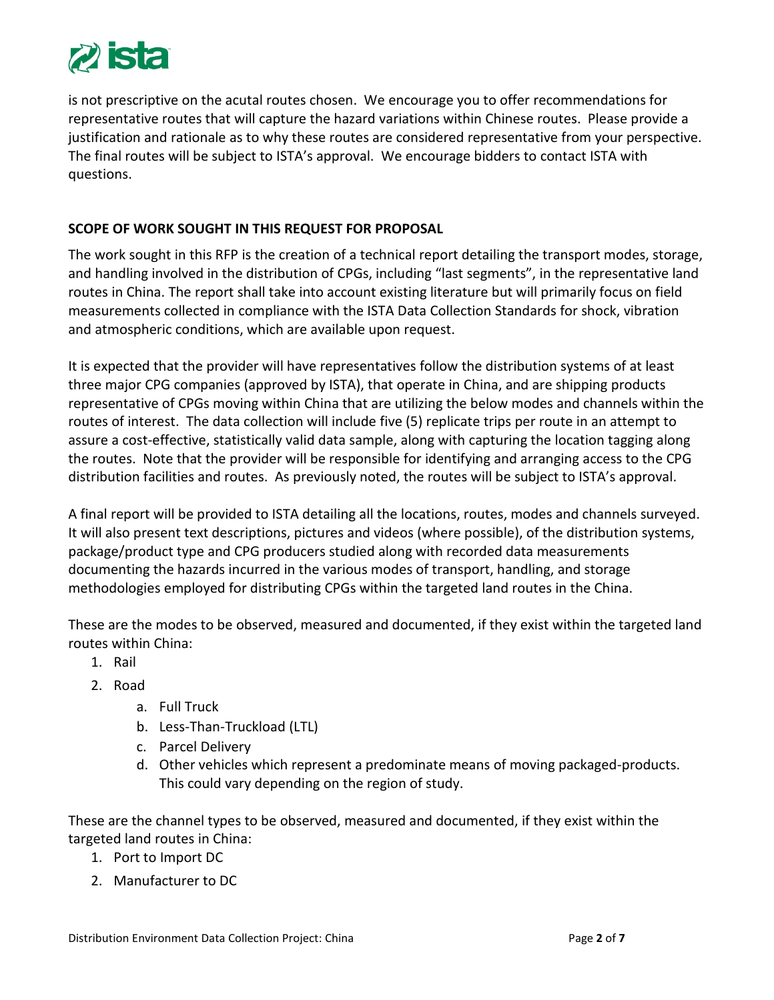

is not prescriptive on the acutal routes chosen. We encourage you to offer recommendations for representative routes that will capture the hazard variations within Chinese routes. Please provide a justification and rationale as to why these routes are considered representative from your perspective. The final routes will be subject to ISTA's approval. We encourage bidders to contact ISTA with questions.

## **SCOPE OF WORK SOUGHT IN THIS REQUEST FOR PROPOSAL**

The work sought in this RFP is the creation of a technical report detailing the transport modes, storage, and handling involved in the distribution of CPGs, including "last segments", in the representative land routes in China. The report shall take into account existing literature but will primarily focus on field measurements collected in compliance with the ISTA Data Collection Standards for shock, vibration and atmospheric conditions, which are available upon request.

It is expected that the provider will have representatives follow the distribution systems of at least three major CPG companies (approved by ISTA), that operate in China, and are shipping products representative of CPGs moving within China that are utilizing the below modes and channels within the routes of interest. The data collection will include five (5) replicate trips per route in an attempt to assure a cost-effective, statistically valid data sample, along with capturing the location tagging along the routes. Note that the provider will be responsible for identifying and arranging access to the CPG distribution facilities and routes. As previously noted, the routes will be subject to ISTA's approval.

A final report will be provided to ISTA detailing all the locations, routes, modes and channels surveyed. It will also present text descriptions, pictures and videos (where possible), of the distribution systems, package/product type and CPG producers studied along with recorded data measurements documenting the hazards incurred in the various modes of transport, handling, and storage methodologies employed for distributing CPGs within the targeted land routes in the China.

These are the modes to be observed, measured and documented, if they exist within the targeted land routes within China:

- 1. Rail
- 2. Road
	- a. Full Truck
	- b. Less-Than-Truckload (LTL)
	- c. Parcel Delivery
	- d. Other vehicles which represent a predominate means of moving packaged-products. This could vary depending on the region of study.

These are the channel types to be observed, measured and documented, if they exist within the targeted land routes in China:

- 1. Port to Import DC
- 2. Manufacturer to DC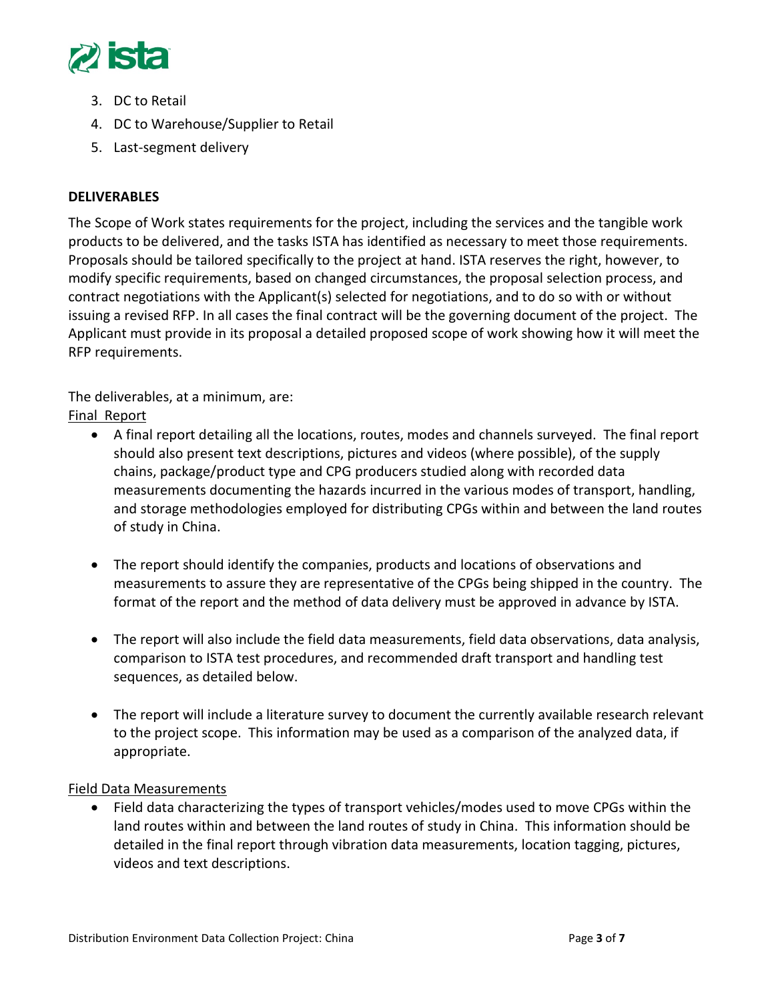

- 3. DC to Retail
- 4. DC to Warehouse/Supplier to Retail
- 5. Last-segment delivery

# **DELIVERABLES**

The Scope of Work states requirements for the project, including the services and the tangible work products to be delivered, and the tasks ISTA has identified as necessary to meet those requirements. Proposals should be tailored specifically to the project at hand. ISTA reserves the right, however, to modify specific requirements, based on changed circumstances, the proposal selection process, and contract negotiations with the Applicant(s) selected for negotiations, and to do so with or without issuing a revised RFP. In all cases the final contract will be the governing document of the project. The Applicant must provide in its proposal a detailed proposed scope of work showing how it will meet the RFP requirements.

The deliverables, at a minimum, are:

Final Report

- A final report detailing all the locations, routes, modes and channels surveyed. The final report should also present text descriptions, pictures and videos (where possible), of the supply chains, package/product type and CPG producers studied along with recorded data measurements documenting the hazards incurred in the various modes of transport, handling, and storage methodologies employed for distributing CPGs within and between the land routes of study in China.
- The report should identify the companies, products and locations of observations and measurements to assure they are representative of the CPGs being shipped in the country. The format of the report and the method of data delivery must be approved in advance by ISTA.
- The report will also include the field data measurements, field data observations, data analysis, comparison to ISTA test procedures, and recommended draft transport and handling test sequences, as detailed below.
- The report will include a literature survey to document the currently available research relevant to the project scope. This information may be used as a comparison of the analyzed data, if appropriate.

Field Data Measurements

• Field data characterizing the types of transport vehicles/modes used to move CPGs within the land routes within and between the land routes of study in China. This information should be detailed in the final report through vibration data measurements, location tagging, pictures, videos and text descriptions.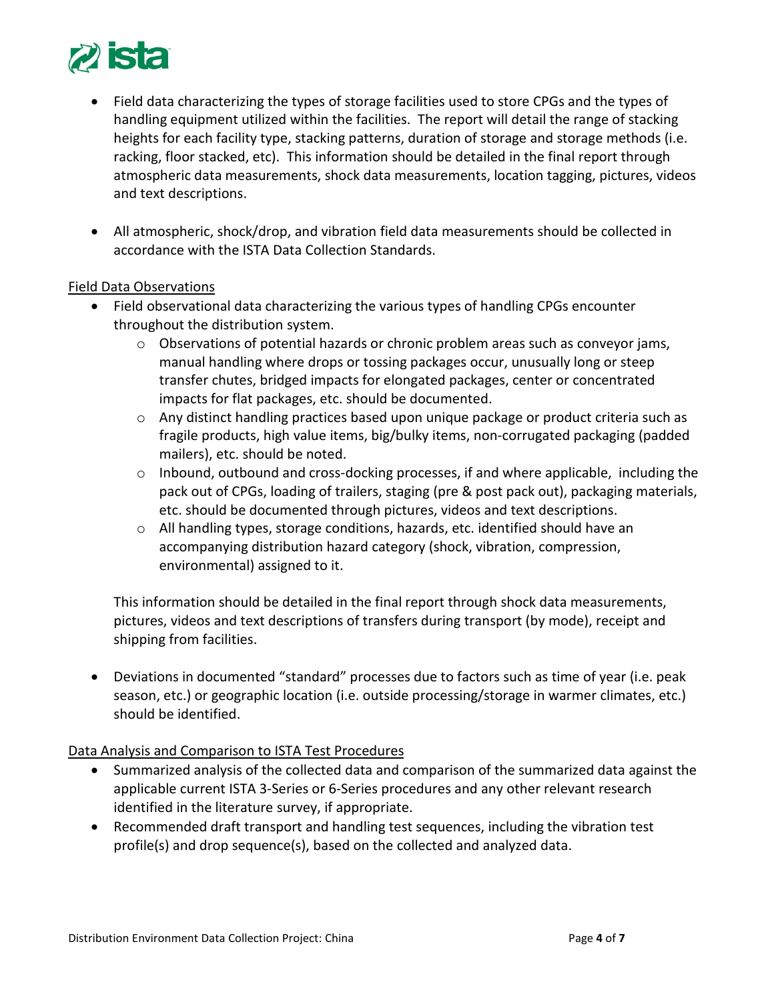

- Field data characterizing the types of storage facilities used to store CPGs and the types of handling equipment utilized within the facilities. The report will detail the range of stacking heights for each facility type, stacking patterns, duration of storage and storage methods (i.e. racking, floor stacked, etc). This information should be detailed in the final report through atmospheric data measurements, shock data measurements, location tagging, pictures, videos and text descriptions.
- All atmospheric, shock/drop, and vibration field data measurements should be collected in accordance with the ISTA Data Collection Standards.

## Field Data Observations

- Field observational data characterizing the various types of handling CPGs encounter throughout the distribution system.
	- $\circ$  Observations of potential hazards or chronic problem areas such as conveyor jams, manual handling where drops or tossing packages occur, unusually long or steep transfer chutes, bridged impacts for elongated packages, center or concentrated impacts for flat packages, etc. should be documented.
	- $\circ$  Any distinct handling practices based upon unique package or product criteria such as fragile products, high value items, big/bulky items, non-corrugated packaging (padded mailers), etc. should be noted.
	- $\circ$  Inbound, outbound and cross-docking processes, if and where applicable, including the pack out of CPGs, loading of trailers, staging (pre & post pack out), packaging materials, etc. should be documented through pictures, videos and text descriptions.
	- $\circ$  All handling types, storage conditions, hazards, etc. identified should have an accompanying distribution hazard category (shock, vibration, compression, environmental) assigned to it.

This information should be detailed in the final report through shock data measurements, pictures, videos and text descriptions of transfers during transport (by mode), receipt and shipping from facilities.

• Deviations in documented "standard" processes due to factors such as time of year (i.e. peak season, etc.) or geographic location (i.e. outside processing/storage in warmer climates, etc.) should be identified.

Data Analysis and Comparison to ISTA Test Procedures

- Summarized analysis of the collected data and comparison of the summarized data against the applicable current ISTA 3-Series or 6-Series procedures and any other relevant research identified in the literature survey, if appropriate.
- Recommended draft transport and handling test sequences, including the vibration test profile(s) and drop sequence(s), based on the collected and analyzed data.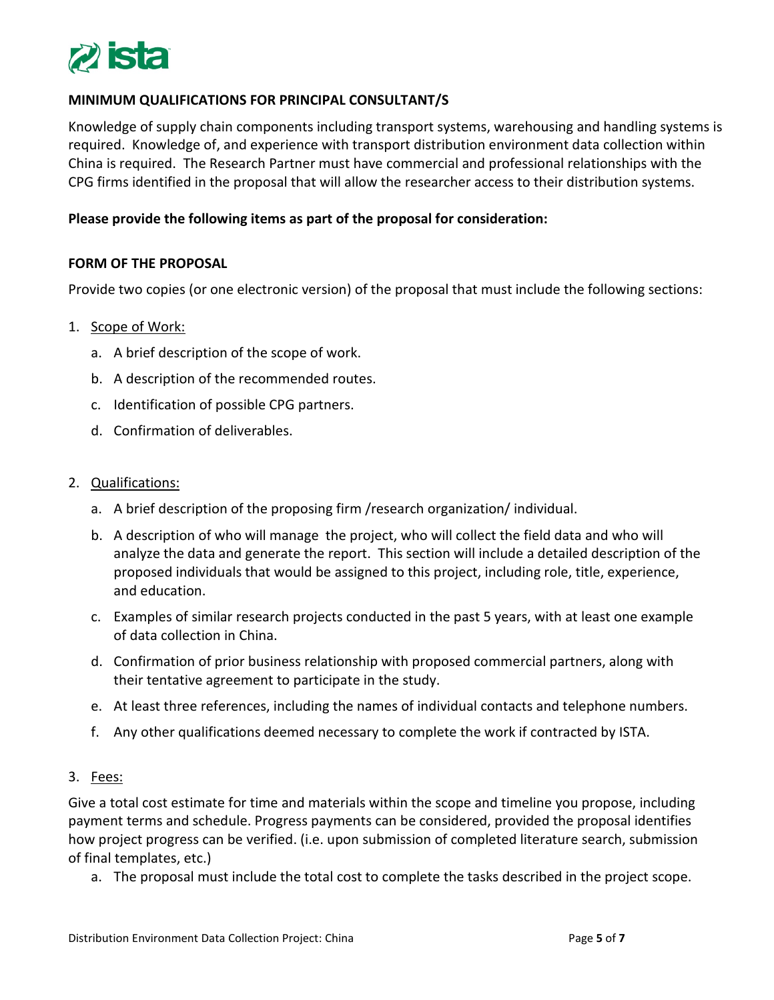

## **MINIMUM QUALIFICATIONS FOR PRINCIPAL CONSULTANT/S**

Knowledge of supply chain components including transport systems, warehousing and handling systems is required. Knowledge of, and experience with transport distribution environment data collection within China is required. The Research Partner must have commercial and professional relationships with the CPG firms identified in the proposal that will allow the researcher access to their distribution systems.

### **Please provide the following items as part of the proposal for consideration:**

### **FORM OF THE PROPOSAL**

Provide two copies (or one electronic version) of the proposal that must include the following sections:

### 1. Scope of Work:

- a. A brief description of the scope of work.
- b. A description of the recommended routes.
- c. Identification of possible CPG partners.
- d. Confirmation of deliverables.

#### 2. Qualifications:

- a. A brief description of the proposing firm /research organization/ individual.
- b. A description of who will manage the project, who will collect the field data and who will analyze the data and generate the report. This section will include a detailed description of the proposed individuals that would be assigned to this project, including role, title, experience, and education.
- c. Examples of similar research projects conducted in the past 5 years, with at least one example of data collection in China.
- d. Confirmation of prior business relationship with proposed commercial partners, along with their tentative agreement to participate in the study.
- e. At least three references, including the names of individual contacts and telephone numbers.
- f. Any other qualifications deemed necessary to complete the work if contracted by ISTA.

#### 3. Fees:

Give a total cost estimate for time and materials within the scope and timeline you propose, including payment terms and schedule. Progress payments can be considered, provided the proposal identifies how project progress can be verified. (i.e. upon submission of completed literature search, submission of final templates, etc.)

a. The proposal must include the total cost to complete the tasks described in the project scope.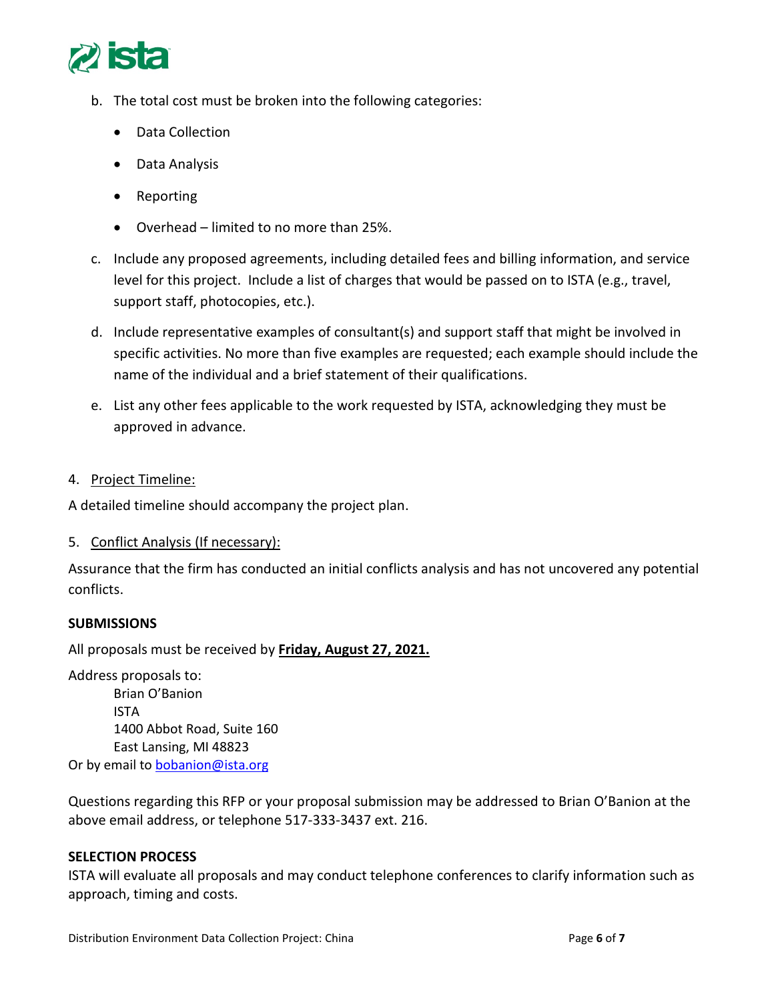

- b. The total cost must be broken into the following categories:
	- Data Collection
	- Data Analysis
	- Reporting
	- Overhead limited to no more than 25%.
- c. Include any proposed agreements, including detailed fees and billing information, and service level for this project. Include a list of charges that would be passed on to ISTA (e.g., travel, support staff, photocopies, etc.).
- d. Include representative examples of consultant(s) and support staff that might be involved in specific activities. No more than five examples are requested; each example should include the name of the individual and a brief statement of their qualifications.
- e. List any other fees applicable to the work requested by ISTA, acknowledging they must be approved in advance.
- 4. Project Timeline:

A detailed timeline should accompany the project plan.

5. Conflict Analysis (If necessary):

Assurance that the firm has conducted an initial conflicts analysis and has not uncovered any potential conflicts.

## **SUBMISSIONS**

All proposals must be received by **Friday, August 27, 2021.**

Address proposals to: Brian O'Banion ISTA 1400 Abbot Road, Suite 160 East Lansing, MI 48823 Or by email to [bobanion@ista.org](mailto:bobanion@ista.org)

Questions regarding this RFP or your proposal submission may be addressed to Brian O'Banion at the above email address, or telephone 517-333-3437 ext. 216.

## **SELECTION PROCESS**

ISTA will evaluate all proposals and may conduct telephone conferences to clarify information such as approach, timing and costs.